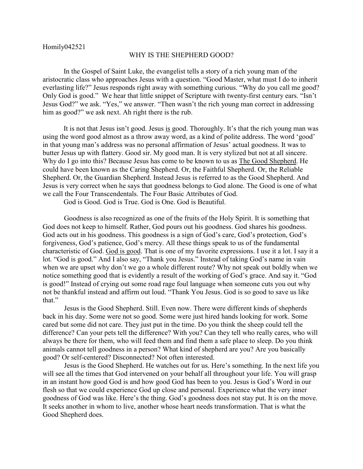Homily042521

## WHY IS THE SHEPHERD GOOD?

In the Gospel of Saint Luke, the evangelist tells a story of a rich young man of the aristocratic class who approaches Jesus with a question. "Good Master, what must I do to inherit everlasting life?" Jesus responds right away with something curious. "Why do you call me good? Only God is good." We hear that little snippet of Scripture with twenty-first century ears. "Isn't Jesus God?" we ask. "Yes," we answer. "Then wasn't the rich young man correct in addressing him as good?" we ask next. Ah right there is the rub.

It is not that Jesus isn't good. Jesus is good. Thoroughly. It's that the rich young man was using the word good almost as a throw away word, as a kind of polite address. The word 'good' in that young man's address was no personal affirmation of Jesus' actual goodness. It was to butter Jesus up with flattery. Good sir. My good man. It is very stylized but not at all sincere. Why do I go into this? Because Jesus has come to be known to us as The Good Shepherd. He could have been known as the Caring Shepherd. Or, the Faithful Shepherd. Or, the Reliable Shepherd. Or, the Guardian Shepherd. Instead Jesus is referred to as the Good Shepherd. And Jesus is very correct when he says that goodness belongs to God alone. The Good is one of what we call the Four Transcendentals. The Four Basic Attributes of God.

God is Good. God is True. God is One. God is Beautiful.

Goodness is also recognized as one of the fruits of the Holy Spirit. It is something that God does not keep to himself. Rather, God pours out his goodness. God shares his goodness. God acts out in his goodness. This goodness is a sign of God's care, God's protection, God's forgiveness, God's patience, God's mercy. All these things speak to us of the fundamental characteristic of God. God is good. That is one of my favorite expressions. I use it a lot. I say it a lot. "God is good." And I also say, "Thank you Jesus." Instead of taking God's name in vain when we are upset why don't we go a whole different route? Why not speak out boldly when we notice something good that is evidently a result of the working of God's grace. And say it. "God is good!" Instead of crying out some road rage foul language when someone cuts you out why not be thankful instead and affirm out loud. "Thank You Jesus. God is so good to save us like that."

Jesus is the Good Shepherd. Still. Even now. There were different kinds of shepherds back in his day. Some were not so good. Some were just hired hands looking for work. Some cared but some did not care. They just put in the time. Do you think the sheep could tell the difference? Can your pets tell the difference? With you? Can they tell who really cares, who will always be there for them, who will feed them and find them a safe place to sleep. Do you think animals cannot tell goodness in a person? What kind of shepherd are you? Are you basically good? Or self-centered? Disconnected? Not often interested.

Jesus is the Good Shepherd. He watches out for us. Here's something. In the next life you will see all the times that God intervened on your behalf all throughout your life. You will grasp in an instant how good God is and how good God has been to you. Jesus is God's Word in our flesh so that we could experience God up close and personal. Experience what the very inner goodness of God was like. Here's the thing. God's goodness does not stay put. It is on the move. It seeks another in whom to live, another whose heart needs transformation. That is what the Good Shepherd does.